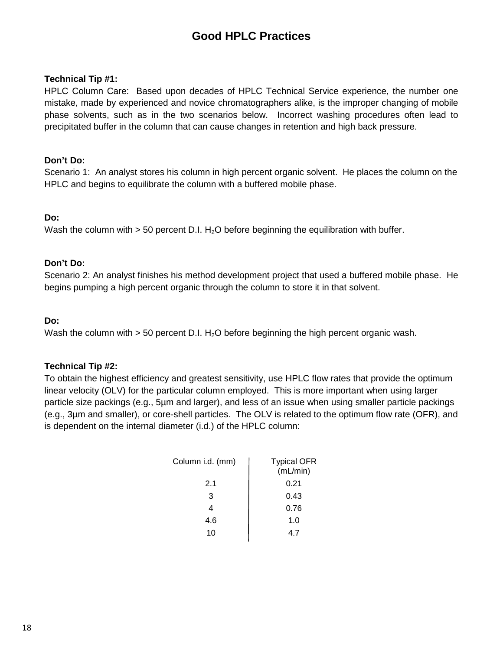# **Good HPLC Practices**

## **Technical Tip #1:**

HPLC Column Care: Based upon decades of HPLC Technical Service experience, the number one mistake, made by experienced and novice chromatographers alike, is the improper changing of mobile phase solvents, such as in the two scenarios below. Incorrect washing procedures often lead to precipitated buffer in the column that can cause changes in retention and high back pressure.

## **Don't Do:**

Scenario 1: An analyst stores his column in high percent organic solvent. He places the column on the HPLC and begins to equilibrate the column with a buffered mobile phase.

# **Do:**

Wash the column with  $> 50$  percent D.I. H<sub>2</sub>O before beginning the equilibration with buffer.

### **Don't Do:**

Scenario 2: An analyst finishes his method development project that used a buffered mobile phase. He begins pumping a high percent organic through the column to store it in that solvent.

## **Do:**

Wash the column with  $>$  50 percent D.I. H<sub>2</sub>O before beginning the high percent organic wash.

# **Technical Tip #2:**

To obtain the highest efficiency and greatest sensitivity, use HPLC flow rates that provide the optimum linear velocity (OLV) for the particular column employed. This is more important when using larger particle size packings (e.g., 5µm and larger), and less of an issue when using smaller particle packings (e.g., 3µm and smaller), or core-shell particles. The OLV is related to the optimum flow rate (OFR), and is dependent on the internal diameter (i.d.) of the HPLC column:

| Column i.d. (mm) | <b>Typical OFR</b><br>(mL/min) |  |
|------------------|--------------------------------|--|
| 2.1              | 0.21                           |  |
| 3                | 0.43                           |  |
|                  | 0.76                           |  |
| 4.6              | 1.0                            |  |
| 10               | 47                             |  |